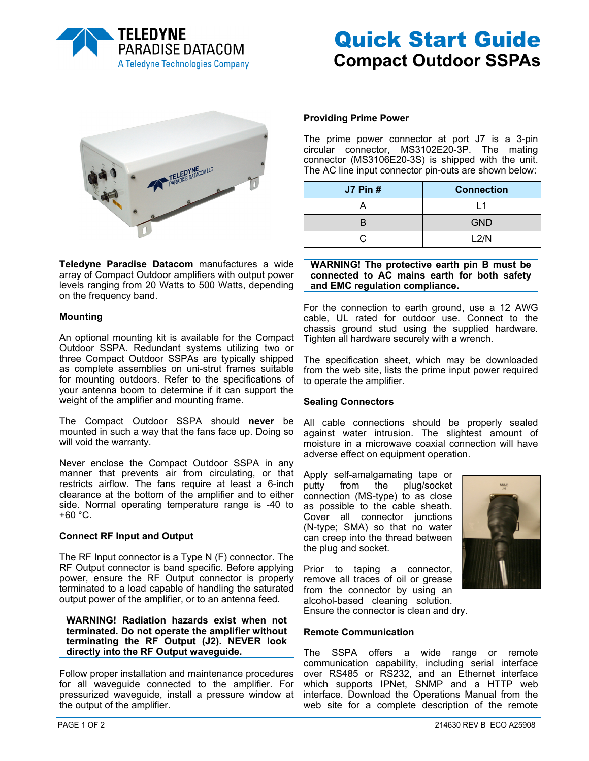



**Teledyne Paradise Datacom** manufactures a wide array of Compact Outdoor amplifiers with output power levels ranging from 20 Watts to 500 Watts, depending on the frequency band.

# **Mounting**

An optional mounting kit is available for the Compact Outdoor SSPA. Redundant systems utilizing two or three Compact Outdoor SSPAs are typically shipped as complete assemblies on uni-strut frames suitable for mounting outdoors. Refer to the specifications of your antenna boom to determine if it can support the weight of the amplifier and mounting frame.

The Compact Outdoor SSPA should **never** be mounted in such a way that the fans face up. Doing so will void the warranty.

Never enclose the Compact Outdoor SSPA in any manner that prevents air from circulating, or that restricts airflow. The fans require at least a 6-inch clearance at the bottom of the amplifier and to either side. Normal operating temperature range is -40 to  $+60 °C$ .

# **Connect RF Input and Output**

The RF Input connector is a Type N (F) connector. The RF Output connector is band specific. Before applying power, ensure the RF Output connector is properly terminated to a load capable of handling the saturated output power of the amplifier, or to an antenna feed.

**WARNING! Radiation hazards exist when not terminated. Do not operate the amplifier without terminating the RF Output (J2). NEVER look directly into the RF Output waveguide.** 

Follow proper installation and maintenance procedures for all waveguide connected to the amplifier. For pressurized waveguide, install a pressure window at the output of the amplifier.

# **Providing Prime Power**

The prime power connector at port J7 is a 3-pin circular connector, MS3102E20-3P. The mating connector (MS3106E20-3S) is shipped with the unit. The AC line input connector pin-outs are shown below:

| <b>J7 Pin #</b> | <b>Connection</b> |  |
|-----------------|-------------------|--|
|                 |                   |  |
|                 | <b>GND</b>        |  |
|                 | L2/N              |  |

## **WARNING! The protective earth pin B must be connected to AC mains earth for both safety and EMC regulation compliance.**

For the connection to earth ground, use a 12 AWG cable, UL rated for outdoor use. Connect to the chassis ground stud using the supplied hardware. Tighten all hardware securely with a wrench.

The specification sheet, which may be downloaded from the web site, lists the prime input power required to operate the amplifier.

# **Sealing Connectors**

All cable connections should be properly sealed against water intrusion. The slightest amount of moisture in a microwave coaxial connection will have adverse effect on equipment operation.

Apply self-amalgamating tape or putty from the plug/socket connection (MS-type) to as close as possible to the cable sheath. Cover all connector junctions (N-type; SMA) so that no water can creep into the thread between the plug and socket.



Prior to taping a connector, remove all traces of oil or grease from the connector by using an alcohol-based cleaning solution. Ensure the connector is clean and dry.

# **Remote Communication**

The SSPA offers a wide range or remote communication capability, including serial interface over RS485 or RS232, and an Ethernet interface which supports IPNet, SNMP and a HTTP web interface. Download the Operations Manual from the web site for a complete description of the remote